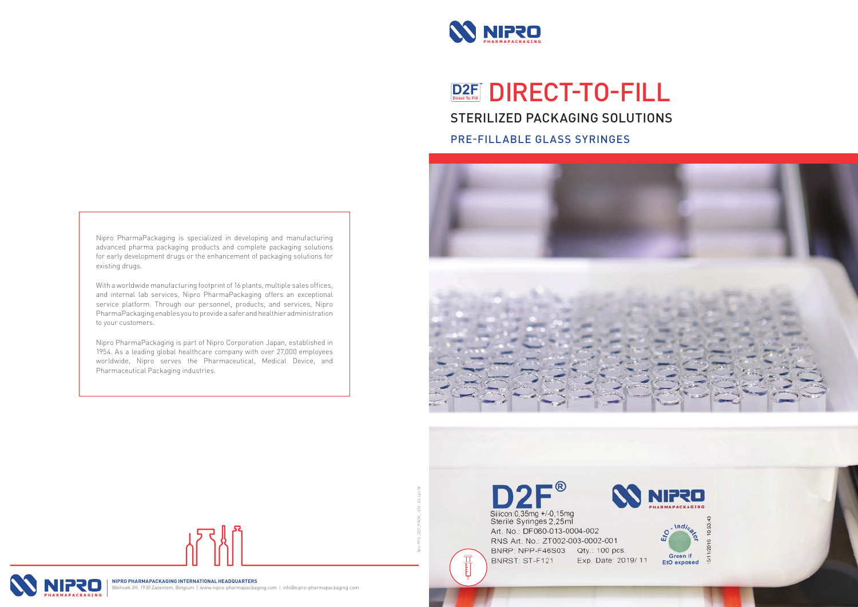Bro-PFS\_D2F\_PACK\_-EN - 04.Jan.18

 $D2F^{\circ}$ Silicon: 0,35mg +/-0,15mg Sterile Syringes 2,25ml Art. No.: DF060-013-0004-002







RNS Art. No.: ZT002-003-0002-001 BNRP: NPP-F46S03 Qty.: 100 pcs. BNRST: ST-F121 Exp. Date: 2019/11









## **D2F Direct To Fill** DIRECT-TO-FILL

STERILIZED PACKAGING SOLUTIONS

PRE-FILLABLE GLASS SYRINGES





Nipro PharmaPackaging is specialized in developing and manufacturing

advanced pharma packaging products and complete packaging solutions for early development drugs or the enhancement of packaging solutions for existing drugs.

With a worldwide manufacturing footprint of 16 plants, multiple sales offices, and internal lab services, Nipro PharmaPackaging offers an exceptional service platform. Through our personnel, products, and services, Nipro PharmaPackaging enables you to provide a safer and healthier administration to your customers.

Nipro PharmaPackaging is part of Nipro Corporation Japan, established in 1954. As a leading global healthcare company with over 27,000 employees worldwide, Nipro serves the Pharmaceutical, Medical Device, and Pharmaceutical Packaging industries.